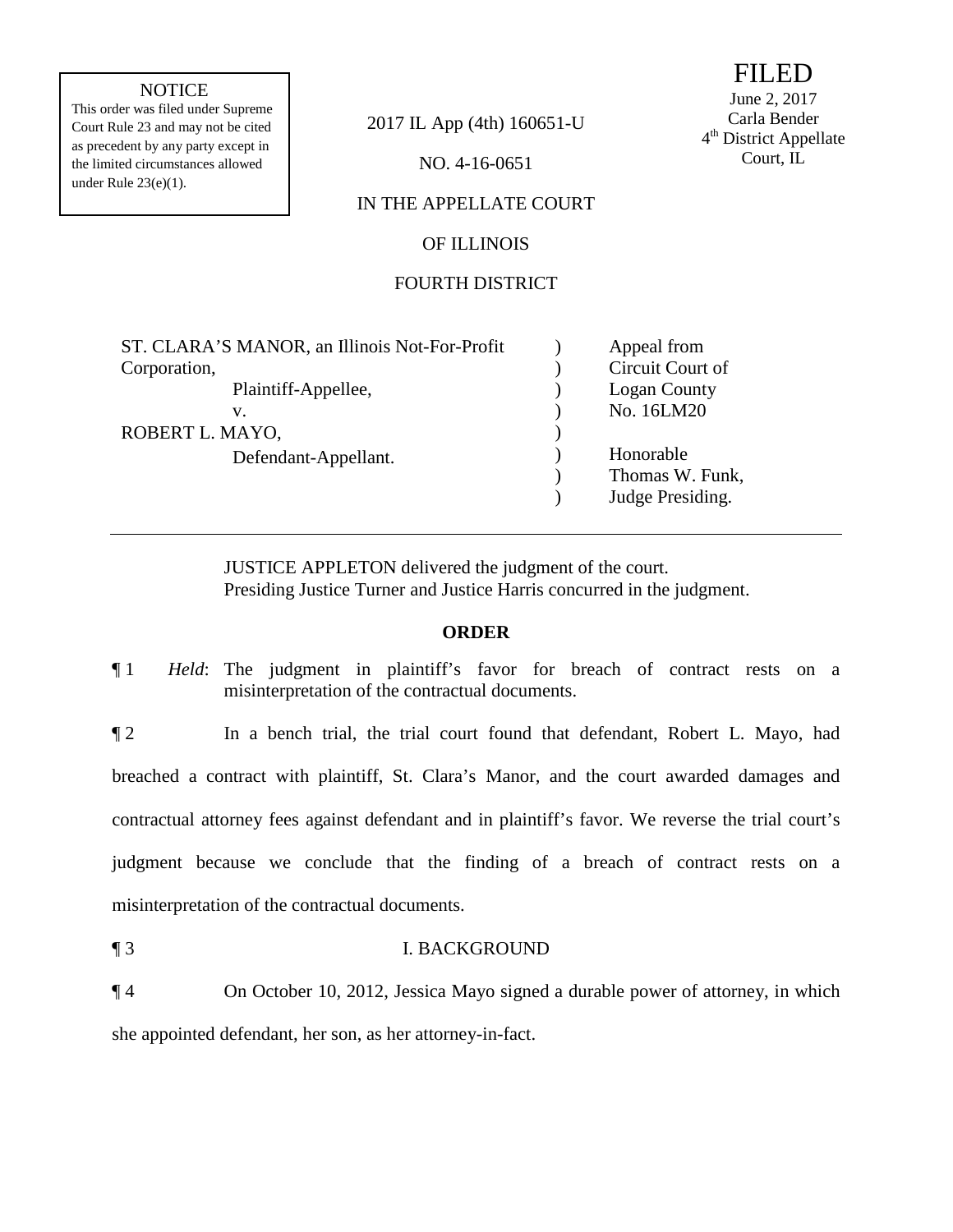## **NOTICE**

the limited circumstances allowed NO. 4-16-0651 under Rule 23(e)(1). This order was filed under Supreme as precedent by any party except in

Court Rule 23 and may not be cited 2017 IL App (4th) 160651-U

# IN THE APPELLATE COURT

#### OF ILLINOIS

## FOURTH DISTRICT

| ST. CLARA'S MANOR, an Illinois Not-For-Profit | Appeal from         |
|-----------------------------------------------|---------------------|
| Corporation,                                  | Circuit Court of    |
| Plaintiff-Appellee,                           | <b>Logan County</b> |
| v.                                            | No. 16LM20          |
| ROBERT L. MAYO,                               |                     |
| Defendant-Appellant.                          | Honorable           |
|                                               | Thomas W. Funk,     |
|                                               | Judge Presiding.    |
|                                               |                     |

JUSTICE APPLETON delivered the judgment of the court. Presiding Justice Turner and Justice Harris concurred in the judgment.

### **ORDER**

¶ 1 *Held*: The judgment in plaintiff's favor for breach of contract rests on a misinterpretation of the contractual documents.

 judgment because we conclude that the finding of a breach of contract rests on a ¶ 2 In a bench trial, the trial court found that defendant, Robert L. Mayo, had breached a contract with plaintiff, St. Clara's Manor, and the court awarded damages and contractual attorney fees against defendant and in plaintiff's favor. We reverse the trial court's misinterpretation of the contractual documents.

¶ 3 I. BACKGROUND

¶ 4 On October 10, 2012, Jessica Mayo signed a durable power of attorney, in which she appointed defendant, her son, as her attorney-in-fact.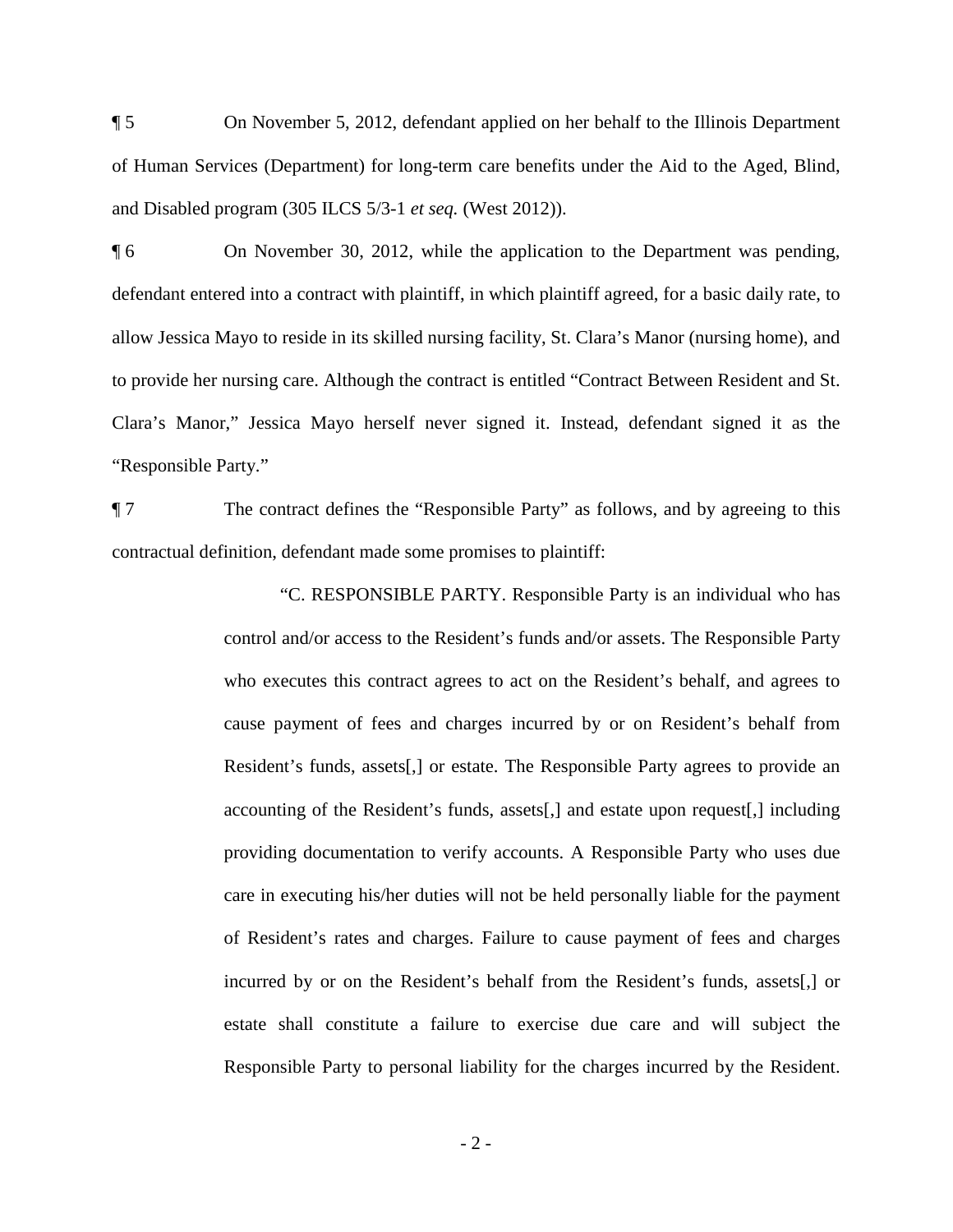¶ 5 On November 5, 2012, defendant applied on her behalf to the Illinois Department of Human Services (Department) for long-term care benefits under the Aid to the Aged, Blind, and Disabled program (305 ILCS 5/3-1 *et seq.* (West 2012)).

¶ 6 On November 30, 2012, while the application to the Department was pending, defendant entered into a contract with plaintiff, in which plaintiff agreed, for a basic daily rate, to allow Jessica Mayo to reside in its skilled nursing facility, St. Clara's Manor (nursing home), and to provide her nursing care. Although the contract is entitled "Contract Between Resident and St. Clara's Manor," Jessica Mayo herself never signed it. Instead, defendant signed it as the "Responsible Party."

 ¶ 7 The contract defines the "Responsible Party" as follows, and by agreeing to this contractual definition, defendant made some promises to plaintiff:

> of Resident's rates and charges. Failure to cause payment of fees and charges "C. RESPONSIBLE PARTY. Responsible Party is an individual who has control and/or access to the Resident's funds and/or assets. The Responsible Party who executes this contract agrees to act on the Resident's behalf, and agrees to cause payment of fees and charges incurred by or on Resident's behalf from Resident's funds, assets[,] or estate. The Responsible Party agrees to provide an accounting of the Resident's funds, assets[,] and estate upon request[,] including providing documentation to verify accounts. A Responsible Party who uses due care in executing his/her duties will not be held personally liable for the payment incurred by or on the Resident's behalf from the Resident's funds, assets[,] or estate shall constitute a failure to exercise due care and will subject the Responsible Party to personal liability for the charges incurred by the Resident.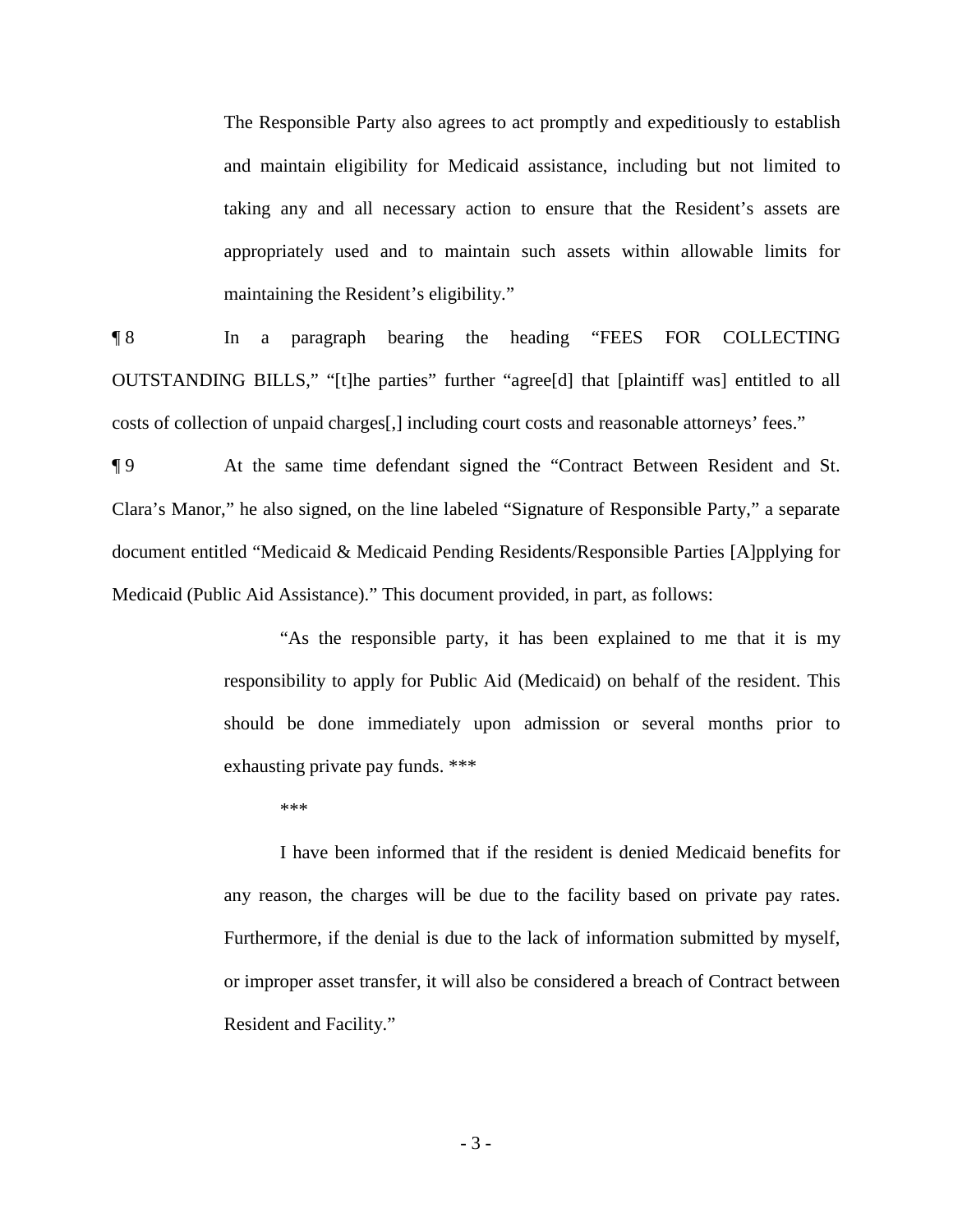The Responsible Party also agrees to act promptly and expeditiously to establish and maintain eligibility for Medicaid assistance, including but not limited to taking any and all necessary action to ensure that the Resident's assets are appropriately used and to maintain such assets within allowable limits for maintaining the Resident's eligibility."

¶ 8 In a paragraph bearing the heading "FEES FOR COLLECTING OUTSTANDING BILLS," "[t]he parties" further "agree[d] that [plaintiff was] entitled to all costs of collection of unpaid charges[,] including court costs and reasonable attorneys' fees."

 ¶ 9 At the same time defendant signed the "Contract Between Resident and St. Clara's Manor," he also signed, on the line labeled "Signature of Responsible Party," a separate document entitled "Medicaid & Medicaid Pending Residents/Responsible Parties [A]pplying for Medicaid (Public Aid Assistance)." This document provided, in part, as follows:

> "As the responsible party, it has been explained to me that it is my responsibility to apply for Public Aid (Medicaid) on behalf of the resident. This should be done immediately upon admission or several months prior to exhausting private pay funds. \*\*\*

\*\*\*

 any reason, the charges will be due to the facility based on private pay rates. I have been informed that if the resident is denied Medicaid benefits for Furthermore, if the denial is due to the lack of information submitted by myself, or improper asset transfer, it will also be considered a breach of Contract between Resident and Facility."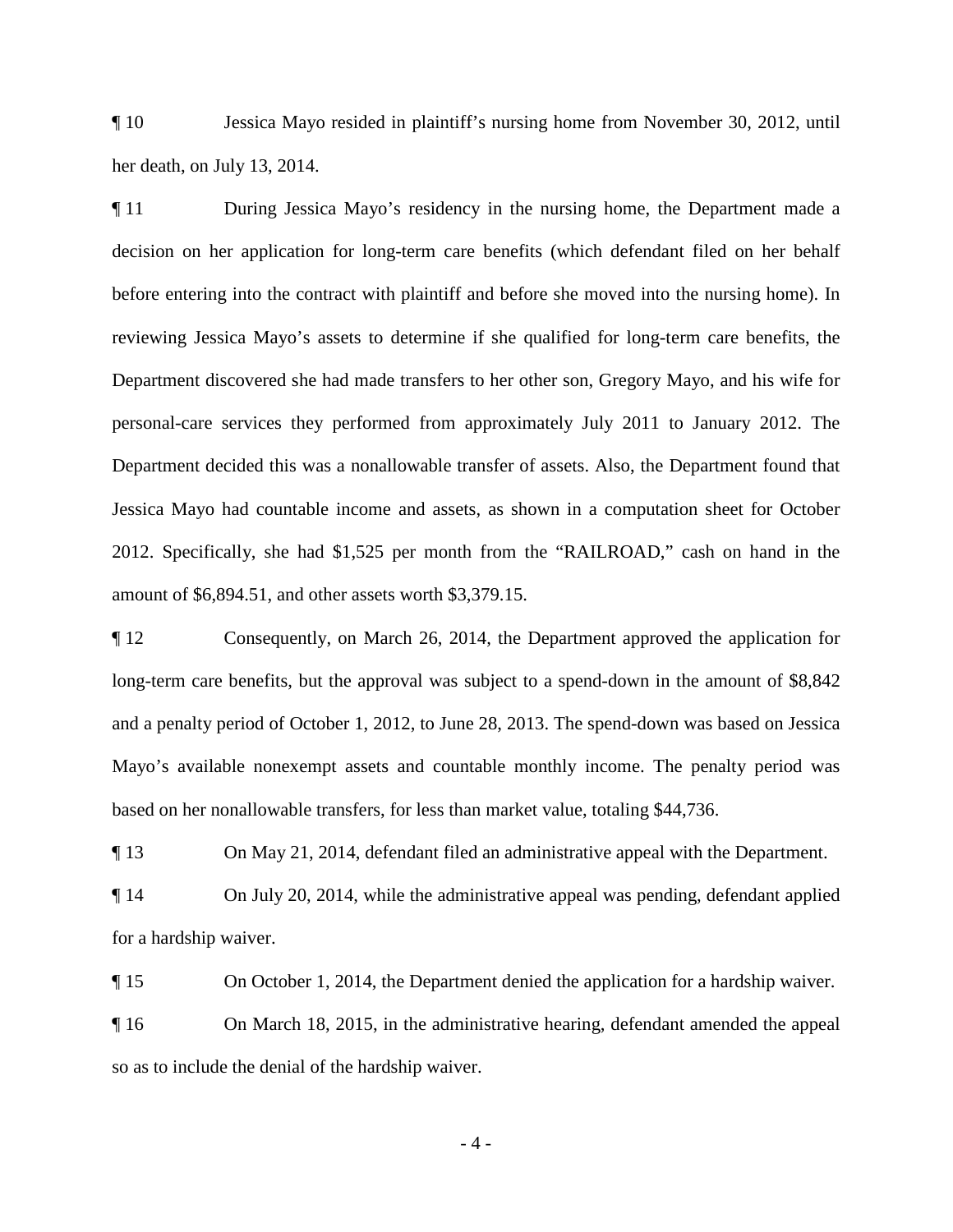¶ 10 Jessica Mayo resided in plaintiff's nursing home from November 30, 2012, until her death, on July 13, 2014.

 decision on her application for long-term care benefits (which defendant filed on her behalf before entering into the contract with plaintiff and before she moved into the nursing home). In Department decided this was a nonallowable transfer of assets. Also, the Department found that ¶ 11 During Jessica Mayo's residency in the nursing home, the Department made a reviewing Jessica Mayo's assets to determine if she qualified for long-term care benefits, the Department discovered she had made transfers to her other son, Gregory Mayo, and his wife for personal-care services they performed from approximately July 2011 to January 2012. The Jessica Mayo had countable income and assets, as shown in a computation sheet for October 2012. Specifically, she had \$1,525 per month from the "RAILROAD," cash on hand in the amount of \$6,894.51, and other assets worth \$3,379.15.

¶ 12 Consequently, on March 26, 2014, the Department approved the application for long-term care benefits, but the approval was subject to a spend-down in the amount of \$8,842 and a penalty period of October 1, 2012, to June 28, 2013. The spend-down was based on Jessica Mayo's available nonexempt assets and countable monthly income. The penalty period was based on her nonallowable transfers, for less than market value, totaling \$44,736.

¶ 13 On May 21, 2014, defendant filed an administrative appeal with the Department.

¶ 14 On July 20, 2014, while the administrative appeal was pending, defendant applied for a hardship waiver.

¶ 15 On October 1, 2014, the Department denied the application for a hardship waiver.

¶ 16 On March 18, 2015, in the administrative hearing, defendant amended the appeal so as to include the denial of the hardship waiver.

 $-4-$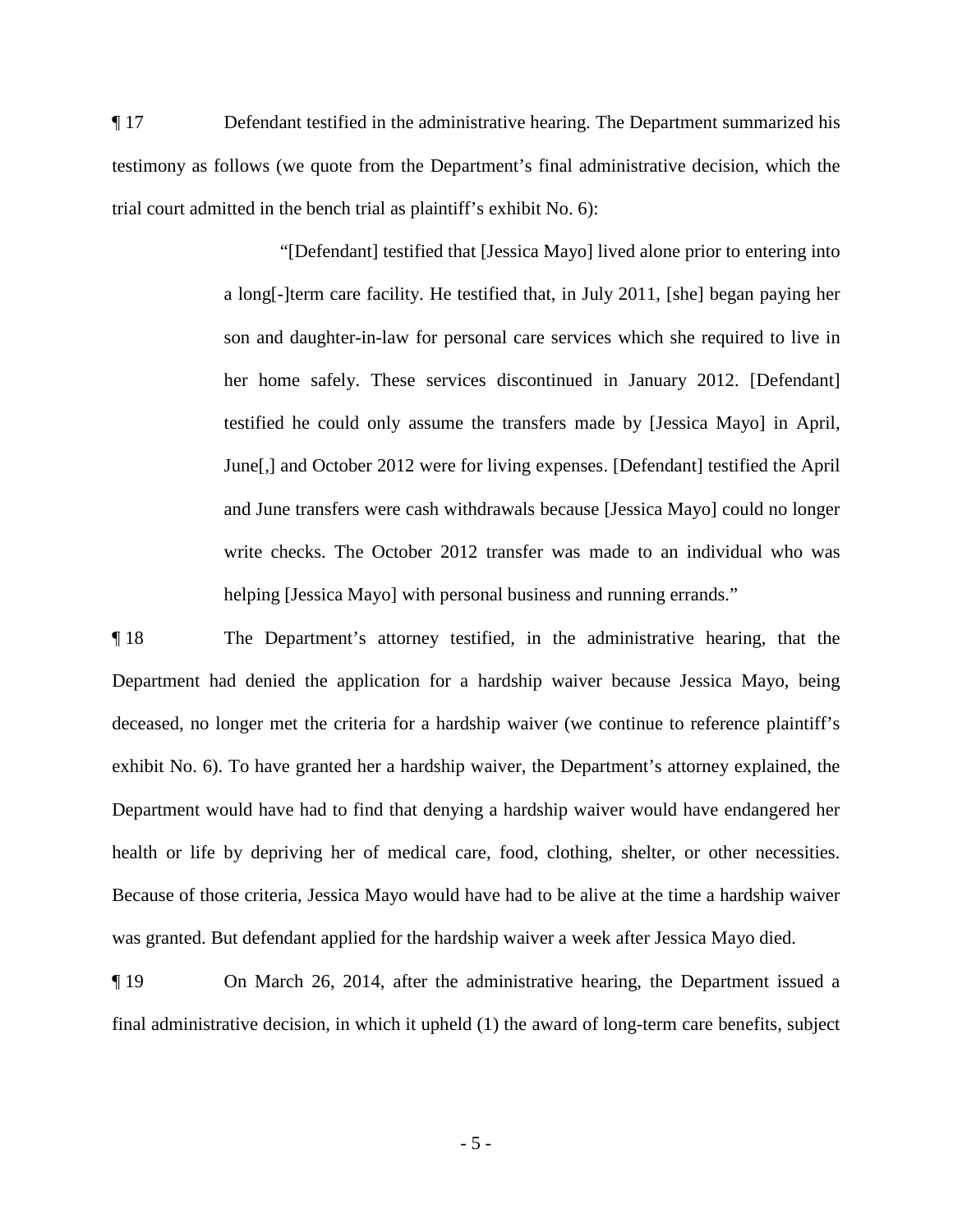¶ 17 Defendant testified in the administrative hearing. The Department summarized his testimony as follows (we quote from the Department's final administrative decision, which the trial court admitted in the bench trial as plaintiff's exhibit No. 6):

> write checks. The October 2012 transfer was made to an individual who was helping [Jessica Mayo] with personal business and running errands." "[Defendant] testified that [Jessica Mayo] lived alone prior to entering into a long[-]term care facility. He testified that, in July 2011, [she] began paying her son and daughter-in-law for personal care services which she required to live in her home safely. These services discontinued in January 2012. [Defendant] testified he could only assume the transfers made by [Jessica Mayo] in April, June[,] and October 2012 were for living expenses. [Defendant] testified the April and June transfers were cash withdrawals because [Jessica Mayo] could no longer

 ¶ 18 The Department's attorney testified, in the administrative hearing, that the deceased, no longer met the criteria for a hardship waiver (we continue to reference plaintiff's exhibit No. 6). To have granted her a hardship waiver, the Department's attorney explained, the Department would have had to find that denying a hardship waiver would have endangered her was granted. But defendant applied for the hardship waiver a week after Jessica Mayo died. Department had denied the application for a hardship waiver because Jessica Mayo, being health or life by depriving her of medical care, food, clothing, shelter, or other necessities. Because of those criteria, Jessica Mayo would have had to be alive at the time a hardship waiver

¶ 19 On March 26, 2014, after the administrative hearing, the Department issued a final administrative decision, in which it upheld (1) the award of long-term care benefits, subject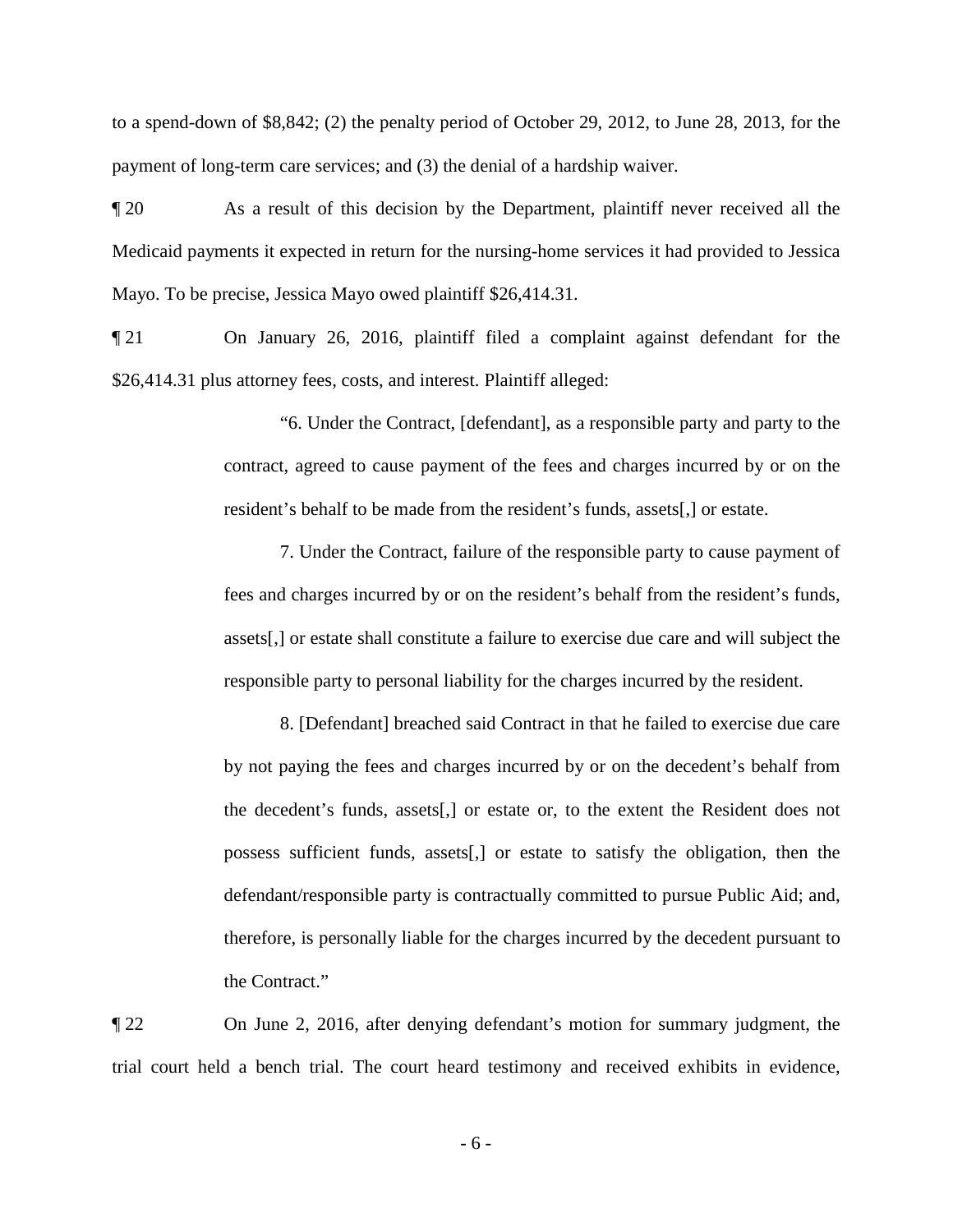to a spend-down of \$8,842; (2) the penalty period of October 29, 2012, to June 28, 2013, for the payment of long-term care services; and (3) the denial of a hardship waiver.

 ¶ 20 As a result of this decision by the Department, plaintiff never received all the Medicaid payments it expected in return for the nursing-home services it had provided to Jessica Mayo. To be precise, Jessica Mayo owed plaintiff \$26,414.31.

¶ 21 On January 26, 2016, plaintiff filed a complaint against defendant for the \$26,414.31 plus attorney fees, costs, and interest. Plaintiff alleged:

> "6. Under the Contract, [defendant], as a responsible party and party to the contract, agreed to cause payment of the fees and charges incurred by or on the resident's behalf to be made from the resident's funds, assets[,] or estate.

> 7. Under the Contract, failure of the responsible party to cause payment of fees and charges incurred by or on the resident's behalf from the resident's funds, assets[,] or estate shall constitute a failure to exercise due care and will subject the responsible party to personal liability for the charges incurred by the resident.

> the decedent's funds, assets[,] or estate or, to the extent the Resident does not 8. [Defendant] breached said Contract in that he failed to exercise due care by not paying the fees and charges incurred by or on the decedent's behalf from possess sufficient funds, assets[,] or estate to satisfy the obligation, then the defendant/responsible party is contractually committed to pursue Public Aid; and, therefore, is personally liable for the charges incurred by the decedent pursuant to the Contract."

¶ 22 On June 2, 2016, after denying defendant's motion for summary judgment, the trial court held a bench trial. The court heard testimony and received exhibits in evidence,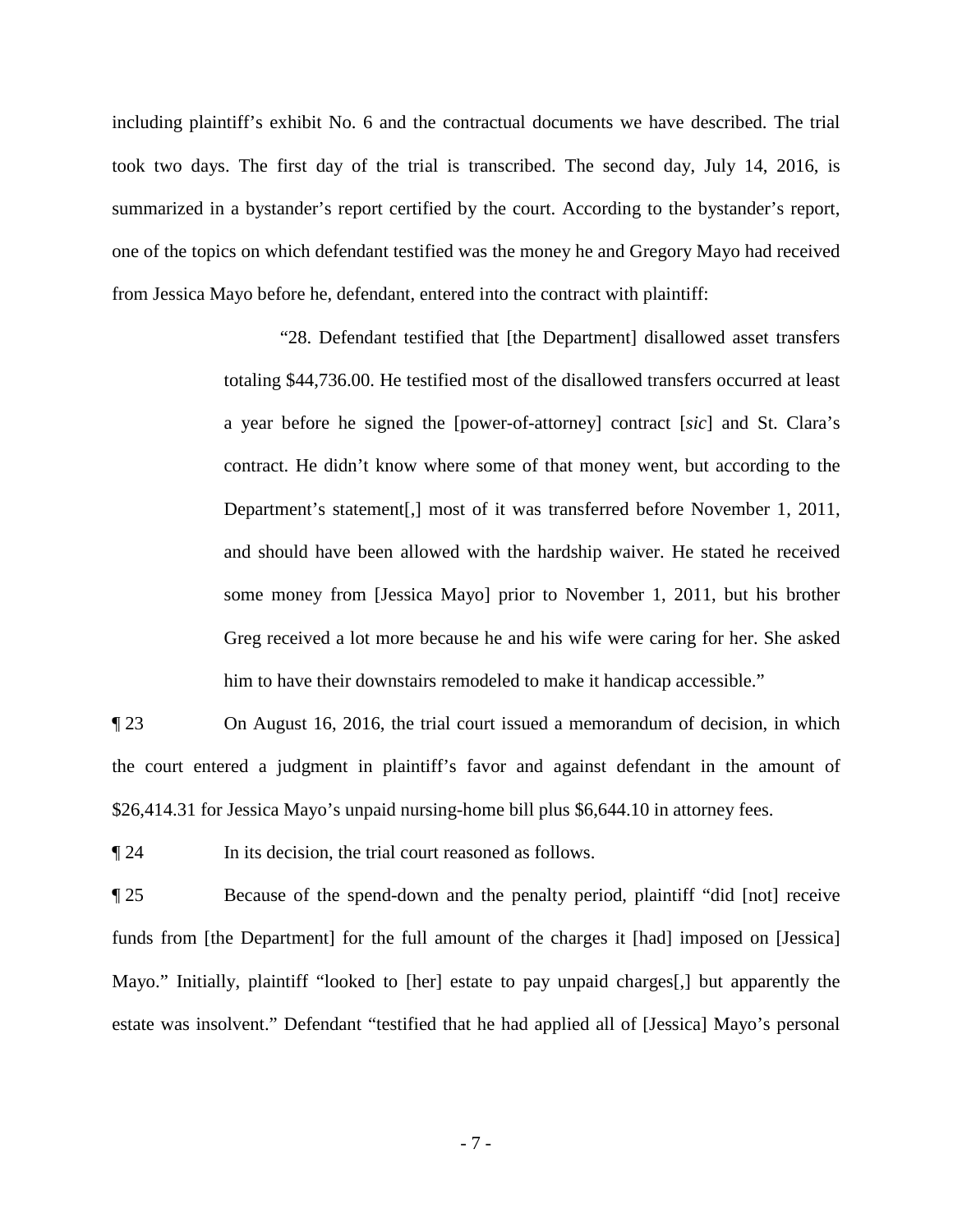one of the topics on which defendant testified was the money he and Gregory Mayo had received including plaintiff's exhibit No. 6 and the contractual documents we have described. The trial took two days. The first day of the trial is transcribed. The second day, July 14, 2016, is summarized in a bystander's report certified by the court. According to the bystander's report, from Jessica Mayo before he, defendant, entered into the contract with plaintiff:

> totaling \$44,736.00. He testified most of the disallowed transfers occurred at least a year before he signed the [power-of-attorney] contract [*sic*] and St. Clara's and should have been allowed with the hardship waiver. He stated he received some money from [Jessica Mayo] prior to November 1, 2011, but his brother him to have their downstairs remodeled to make it handicap accessible." "28. Defendant testified that [the Department] disallowed asset transfers contract. He didn't know where some of that money went, but according to the Department's statement[,] most of it was transferred before November 1, 2011, Greg received a lot more because he and his wife were caring for her. She asked

 $\P$  23 On August 16, 2016, the trial court issued a memorandum of decision, in which the court entered a judgment in plaintiff's favor and against defendant in the amount of \$26,414.31 for Jessica Mayo's unpaid nursing-home bill plus \$6,644.10 in attorney fees.

In its decision, the trial court reasoned as follows.

¶ 24 In its decision, the trial court reasoned as follows. ¶ 25 Because of the spend-down and the penalty period, plaintiff "did [not] receive funds from [the Department] for the full amount of the charges it [had] imposed on [Jessica] Mayo." Initially, plaintiff "looked to [her] estate to pay unpaid charges[,] but apparently the estate was insolvent." Defendant "testified that he had applied all of [Jessica] Mayo's personal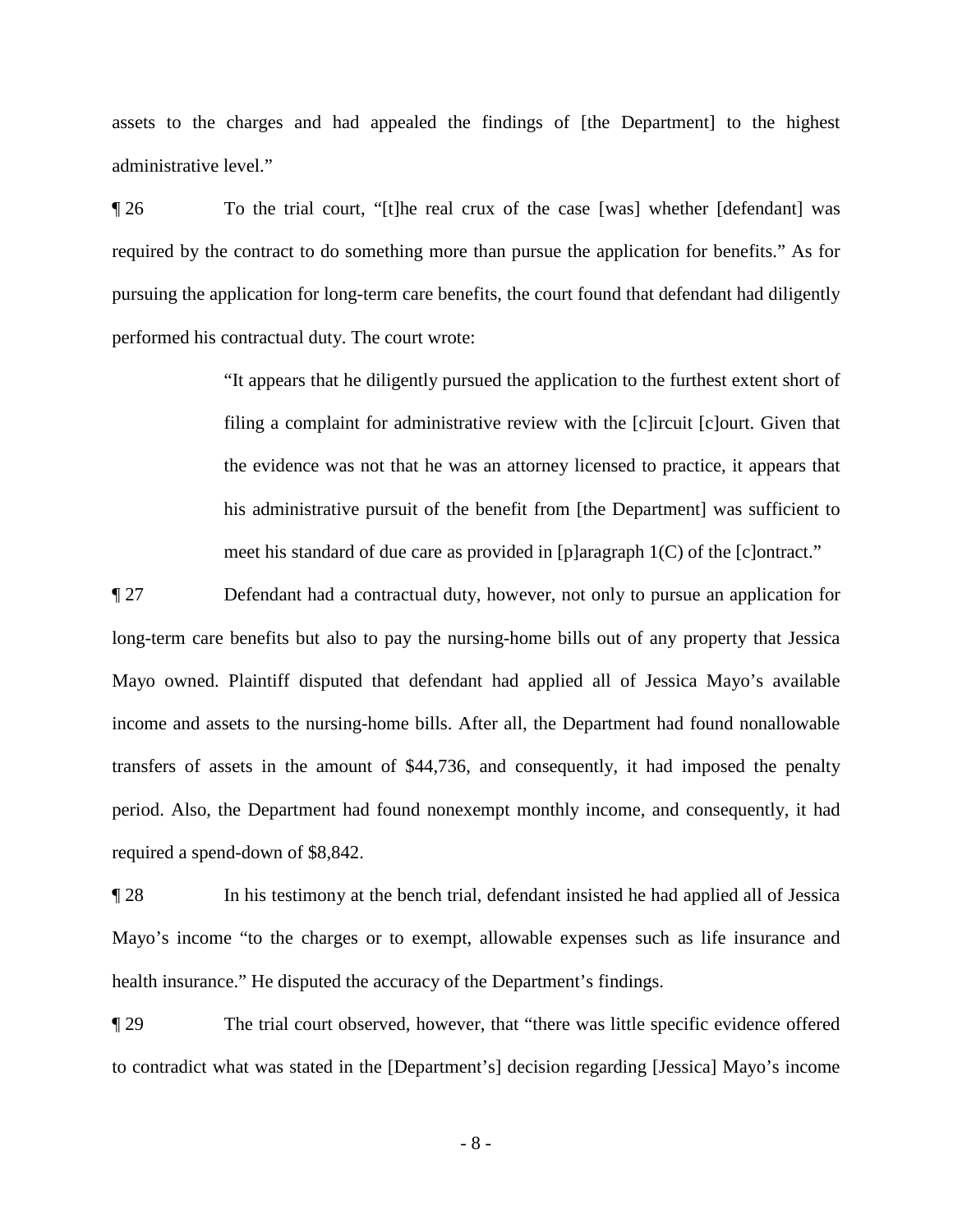administrative level." assets to the charges and had appealed the findings of [the Department] to the highest

 ¶ 26 To the trial court, "[t]he real crux of the case [was] whether [defendant] was required by the contract to do something more than pursue the application for benefits." As for pursuing the application for long-term care benefits, the court found that defendant had diligently performed his contractual duty. The court wrote:

> meet his standard of due care as provided in [p]aragraph 1(C) of the [c]ontract." "It appears that he diligently pursued the application to the furthest extent short of filing a complaint for administrative review with the [c]ircuit [c]ourt. Given that the evidence was not that he was an attorney licensed to practice, it appears that his administrative pursuit of the benefit from [the Department] was sufficient to

 Mayo owned. Plaintiff disputed that defendant had applied all of Jessica Mayo's available ¶ 27 Defendant had a contractual duty, however, not only to pursue an application for long-term care benefits but also to pay the nursing-home bills out of any property that Jessica income and assets to the nursing-home bills. After all, the Department had found nonallowable transfers of assets in the amount of \$44,736, and consequently, it had imposed the penalty period. Also, the Department had found nonexempt monthly income, and consequently, it had required a spend-down of \$8,842.

 health insurance." He disputed the accuracy of the Department's findings. ¶ 28 In his testimony at the bench trial, defendant insisted he had applied all of Jessica Mayo's income "to the charges or to exempt, allowable expenses such as life insurance and

¶ 29 The trial court observed, however, that "there was little specific evidence offered to contradict what was stated in the [Department's] decision regarding [Jessica] Mayo's income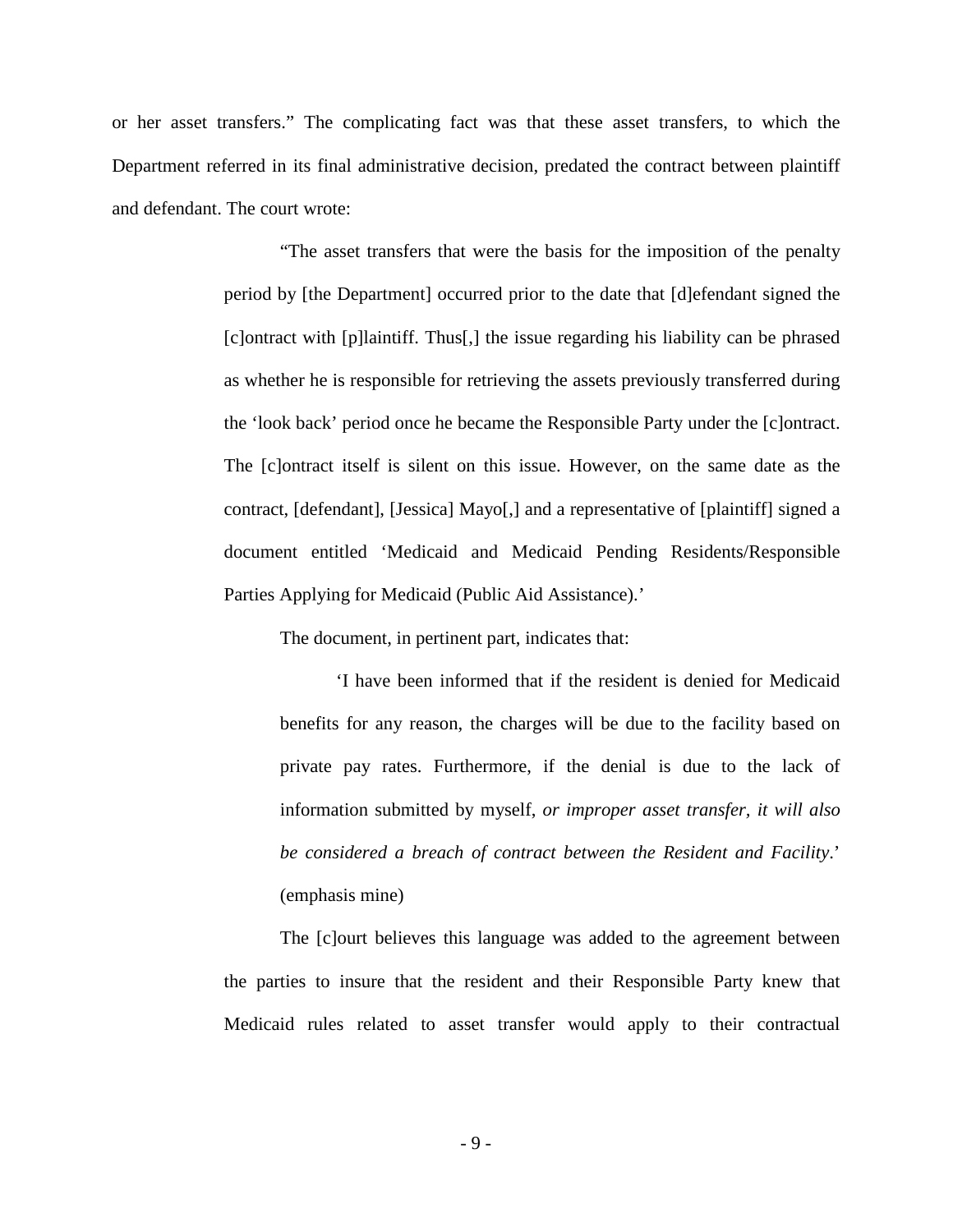and defendant. The court wrote: or her asset transfers." The complicating fact was that these asset transfers, to which the Department referred in its final administrative decision, predated the contract between plaintiff

> "The asset transfers that were the basis for the imposition of the penalty period by [the Department] occurred prior to the date that [d]efendant signed the [c]ontract with [p]laintiff. Thus[,] the issue regarding his liability can be phrased as whether he is responsible for retrieving the assets previously transferred during the 'look back' period once he became the Responsible Party under the [c]ontract. The [c]ontract itself is silent on this issue. However, on the same date as the contract, [defendant], [Jessica] Mayo[,] and a representative of [plaintiff] signed a document entitled 'Medicaid and Medicaid Pending Residents/Responsible Parties Applying for Medicaid (Public Aid Assistance).'

The document, in pertinent part, indicates that:

 (emphasis mine) 'I have been informed that if the resident is denied for Medicaid benefits for any reason, the charges will be due to the facility based on private pay rates. Furthermore, if the denial is due to the lack of information submitted by myself, *or improper asset transfer, it will also be considered a breach of contract between the Resident and Facility*.'

 Medicaid rules related to asset transfer would apply to their contractual The [c]ourt believes this language was added to the agreement between the parties to insure that the resident and their Responsible Party knew that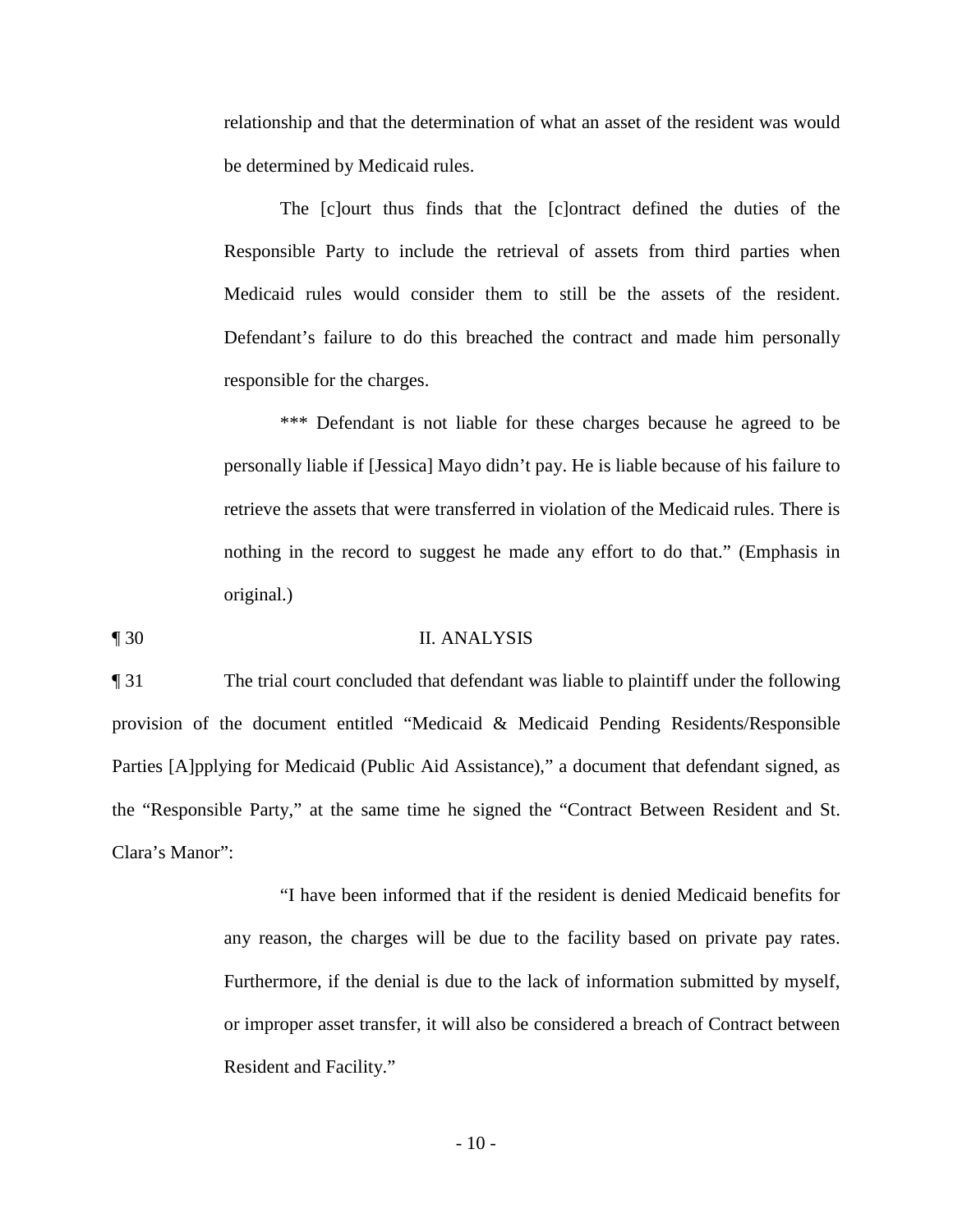relationship and that the determination of what an asset of the resident was would be determined by Medicaid rules.

The [c]ourt thus finds that the [c]ontract defined the duties of the Responsible Party to include the retrieval of assets from third parties when Medicaid rules would consider them to still be the assets of the resident. Defendant's failure to do this breached the contract and made him personally responsible for the charges.

 retrieve the assets that were transferred in violation of the Medicaid rules. There is \*\*\* Defendant is not liable for these charges because he agreed to be personally liable if [Jessica] Mayo didn't pay. He is liable because of his failure to nothing in the record to suggest he made any effort to do that." (Emphasis in original.)

¶ 30 II. ANALYSIS

¶ 31 The trial court concluded that defendant was liable to plaintiff under the following provision of the document entitled "Medicaid & Medicaid Pending Residents/Responsible Parties [A]pplying for Medicaid (Public Aid Assistance)," a document that defendant signed, as the "Responsible Party," at the same time he signed the "Contract Between Resident and St. Clara's Manor":

> any reason, the charges will be due to the facility based on private pay rates. "I have been informed that if the resident is denied Medicaid benefits for Furthermore, if the denial is due to the lack of information submitted by myself, or improper asset transfer, it will also be considered a breach of Contract between Resident and Facility."

> > $-10-$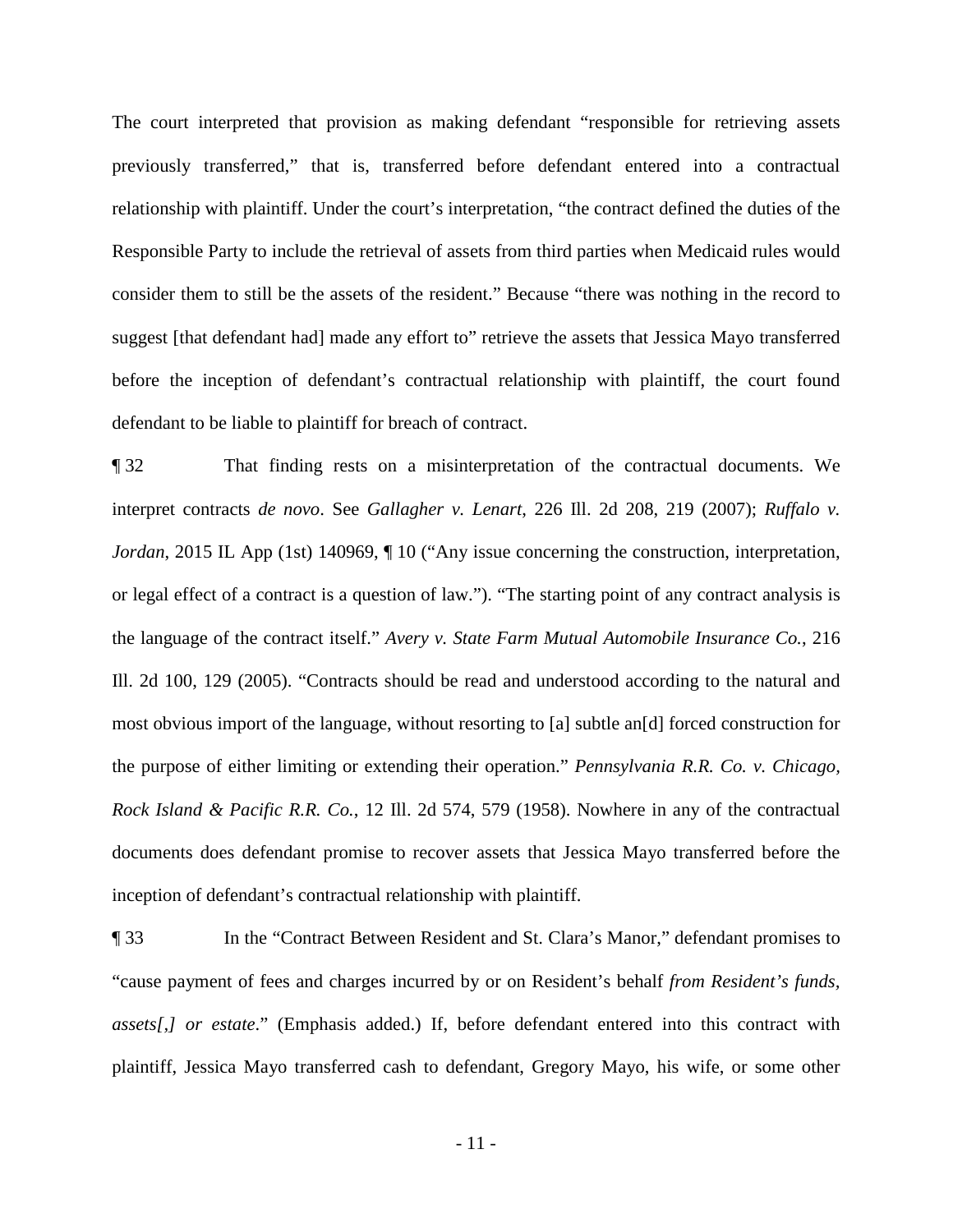before the inception of defendant's contractual relationship with plaintiff, the court found The court interpreted that provision as making defendant "responsible for retrieving assets previously transferred," that is, transferred before defendant entered into a contractual relationship with plaintiff. Under the court's interpretation, "the contract defined the duties of the Responsible Party to include the retrieval of assets from third parties when Medicaid rules would consider them to still be the assets of the resident." Because "there was nothing in the record to suggest [that defendant had] made any effort to" retrieve the assets that Jessica Mayo transferred defendant to be liable to plaintiff for breach of contract.

 the purpose of either limiting or extending their operation." *Pennsylvania R.R. Co. v. Chicago,*  inception of defendant's contractual relationship with plaintiff. ¶ 32 That finding rests on a misinterpretation of the contractual documents. We interpret contracts *de novo*. See *Gallagher v. Lenart*, 226 Ill. 2d 208, 219 (2007); *Ruffalo v. Jordan*, 2015 IL App (1st) 140969,  $\P$  10 ("Any issue concerning the construction, interpretation, or legal effect of a contract is a question of law."). "The starting point of any contract analysis is the language of the contract itself." *Avery v. State Farm Mutual Automobile Insurance Co.*, 216 Ill. 2d 100, 129 (2005). "Contracts should be read and understood according to the natural and most obvious import of the language, without resorting to [a] subtle an[d] forced construction for *Rock Island & Pacific R.R. Co.*, 12 Ill. 2d 574, 579 (1958). Nowhere in any of the contractual documents does defendant promise to recover assets that Jessica Mayo transferred before the

¶ 33 In the "Contract Between Resident and St. Clara's Manor," defendant promises to "cause payment of fees and charges incurred by or on Resident's behalf *from Resident's funds, assets[,] or estate*." (Emphasis added.) If, before defendant entered into this contract with plaintiff, Jessica Mayo transferred cash to defendant, Gregory Mayo, his wife, or some other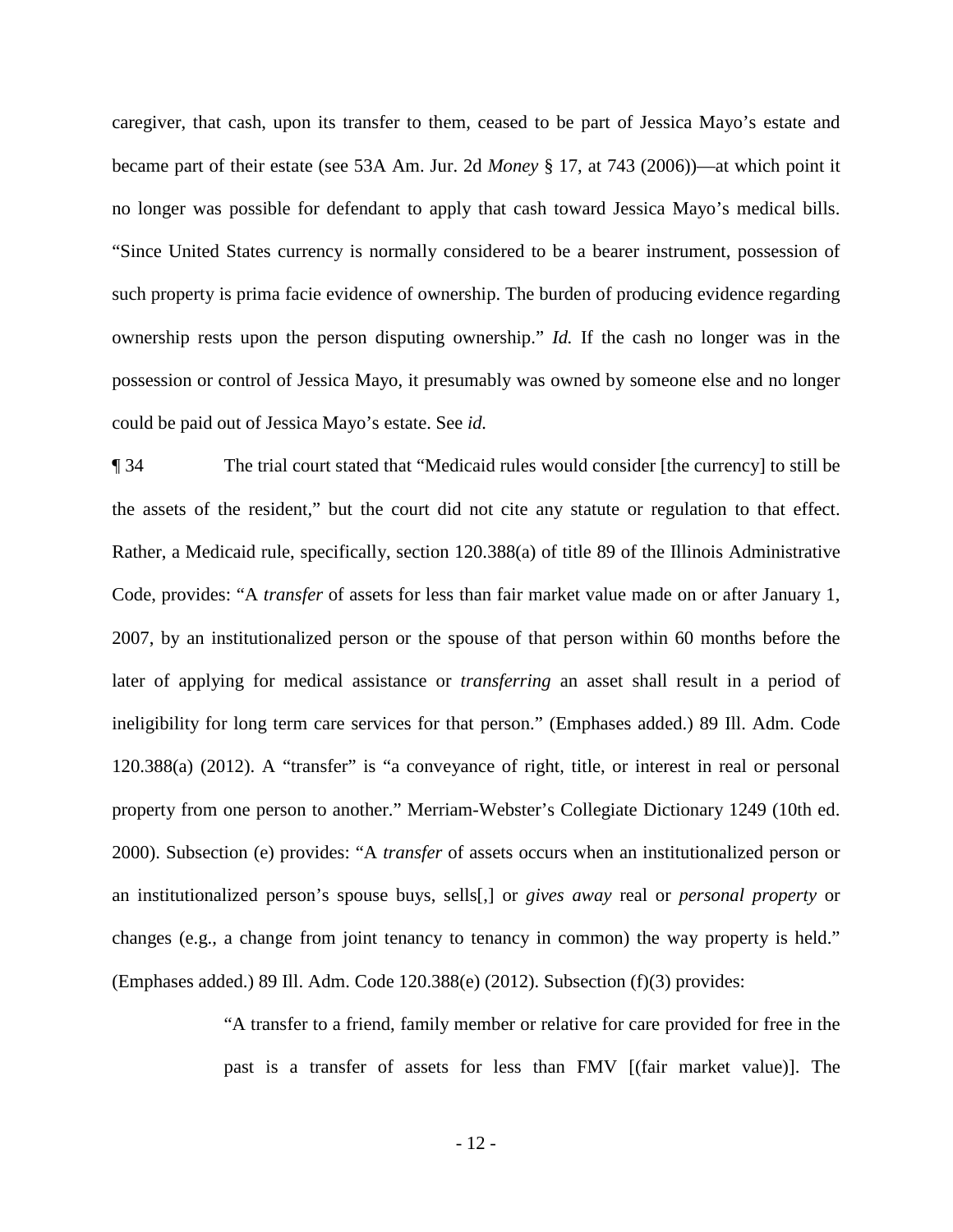caregiver, that cash, upon its transfer to them, ceased to be part of Jessica Mayo's estate and no longer was possible for defendant to apply that cash toward Jessica Mayo's medical bills. ownership rests upon the person disputing ownership." *Id.* If the cash no longer was in the became part of their estate (see 53A Am. Jur. 2d *Money* § 17, at 743 (2006))—at which point it "Since United States currency is normally considered to be a bearer instrument, possession of such property is prima facie evidence of ownership. The burden of producing evidence regarding possession or control of Jessica Mayo, it presumably was owned by someone else and no longer could be paid out of Jessica Mayo's estate. See *id.* 

 ¶ 34 The trial court stated that "Medicaid rules would consider [the currency] to still be Code, provides: "A *transfer* of assets for less than fair market value made on or after January 1, (Emphases added.) 89 Ill. Adm. Code 120.388(e) (2012). Subsection (f)(3) provides: the assets of the resident," but the court did not cite any statute or regulation to that effect. Rather, a Medicaid rule, specifically, section 120.388(a) of title 89 of the Illinois Administrative 2007, by an institutionalized person or the spouse of that person within 60 months before the later of applying for medical assistance or *transferring* an asset shall result in a period of ineligibility for long term care services for that person." (Emphases added.) 89 Ill. Adm. Code 120.388(a) (2012). A "transfer" is "a conveyance of right, title, or interest in real or personal property from one person to another." Merriam-Webster's Collegiate Dictionary 1249 (10th ed. 2000). Subsection (e) provides: "A *transfer* of assets occurs when an institutionalized person or an institutionalized person's spouse buys, sells[,] or *gives away* real or *personal property* or changes (e.g., a change from joint tenancy to tenancy in common) the way property is held."

> "A transfer to a friend, family member or relative for care provided for free in the past is a transfer of assets for less than FMV [(fair market value)]. The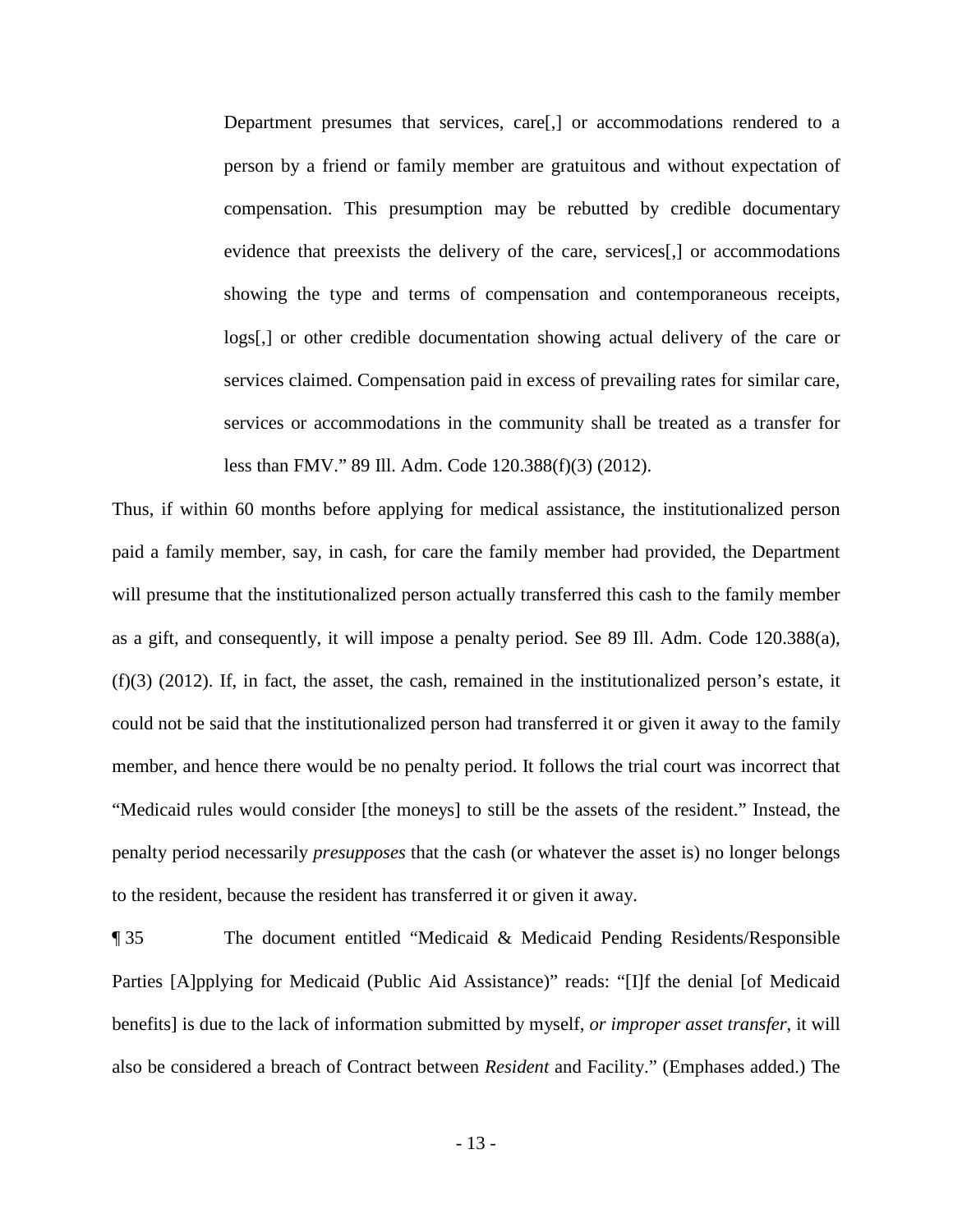logs[,] or other credible documentation showing actual delivery of the care or Department presumes that services, care[,] or accommodations rendered to a person by a friend or family member are gratuitous and without expectation of compensation. This presumption may be rebutted by credible documentary evidence that preexists the delivery of the care, services[,] or accommodations showing the type and terms of compensation and contemporaneous receipts, services claimed. Compensation paid in excess of prevailing rates for similar care, services or accommodations in the community shall be treated as a transfer for less than FMV." 89 Ill. Adm. Code 120.388(f)(3) (2012).

 "Medicaid rules would consider [the moneys] to still be the assets of the resident." Instead, the penalty period necessarily *presupposes* that the cash (or whatever the asset is) no longer belongs Thus, if within 60 months before applying for medical assistance, the institutionalized person paid a family member, say, in cash, for care the family member had provided, the Department will presume that the institutionalized person actually transferred this cash to the family member as a gift, and consequently, it will impose a penalty period. See 89 Ill. Adm. Code 120.388(a), (f)(3) (2012). If, in fact, the asset, the cash, remained in the institutionalized person's estate, it could not be said that the institutionalized person had transferred it or given it away to the family member, and hence there would be no penalty period. It follows the trial court was incorrect that to the resident, because the resident has transferred it or given it away.

¶ 35 The document entitled "Medicaid & Medicaid Pending Residents/Responsible Parties [A]pplying for Medicaid (Public Aid Assistance)" reads: "[I]f the denial [of Medicaid benefits] is due to the lack of information submitted by myself, *or improper asset transfer*, it will also be considered a breach of Contract between *Resident* and Facility." (Emphases added.) The